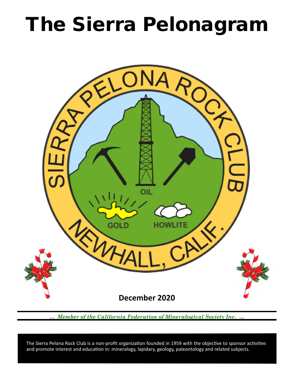# The Sierra Pelonagram



*… Member of the California Federation of Mineralogical Society Inc. …*

 and promote interest and education in: mineralogy, lapidary, geology, paleontology and related subjects. The Sierra Pelona Rock Club is a non-profit organization founded in 1959 with the objective to sponsor activities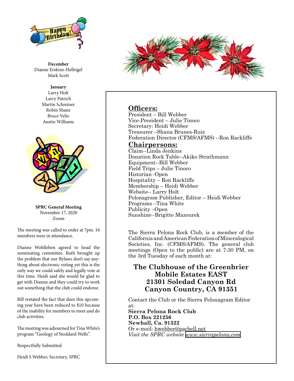

**December** Dianne Erskine-Hellrigel Mark Scott

> **January** Larry Holt Larry Patrich Martin Schreiner Robin Shane Bruce Velie Austin Williams



**SPRC General Meeting** November 17, 2020 Zoom

The meeting was called to order at 7pm. 16 members were in attendance.

Dianne Wohlleben agreed to head the nominating committee. Ruth brought up the problem that our Bylaws don't say anything about electronic voting yet this is the only way we could safely and legally vote at this time. Heidi said she would be glad to get with Dianne and they could try to work out something that the club could endorse.

Bill restated the fact that dues this upcoming year have been reduced to \$10 because of the inability for members to meet and do club activities.

The meeting was adjourned for Tina White's program "Geology of Stoddard Wells".

Respectfully Submitted

Heidi S Webber, Secretary, SPRC



## **Officers:**

President – Bill Webber Vice‑President – Julie Tinoco Secretary: Heidi Webber Treasurer –Shana Brunes-Ruiz Federation Director (CFMS/AFMS) --Ron Rackliffe

### **Chairpersons:**

Claim--Linda Jenkins Donation Rock Table--Akiko Strathmann Equipment--Bill Webber Field Trips – Julie Tinoco Historian ‑Open Hospitality – Ron Rackliffe Membership – Heidi Webber Website-- Larry Holt Pelonagram Publisher, Editor – Heidi Webber Programs –Tina White Publicity –Open Sunshine--Brigitte Mazourek

The Sierra Pelona Rock Club, is a member of the California and American Federation of Mineralogical Societies, Inc. (CFMS/AFMS). The general club meetings (Open to the public) are at 7:30 PM, on the 3rd Tuesday of each month at:

## **The Clubhouse of the Greenbrier Mobile Estates EAST 21301 Soledad Canyon Rd Canyon Country, CA 91351**

Contact the Club or the Sierra Pelonagram Editor at:

**Sierra Pelona Rock Club P.O. Box 221256 Newhall, Ca. 91322** Or e‑mail: hwebber@pacbell.net *Visit the SPRC website [www.sierrapelona.com](http://www.sierrapelona.com/)*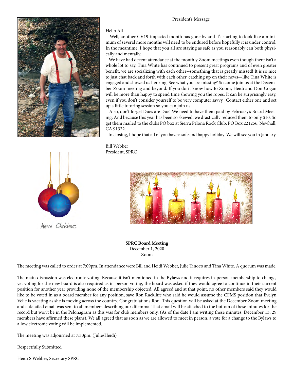

Hello All

Well, another CV19-impacted month has gone by and it's starting to look like a minimum of several more months will need to be endured before hopefully it is under control. In the meantime, I hope that you all are staying as safe as you reasonably can both physically and mentally.

 We have had decent attendance at the monthly Zoom meetings even though there isn't a whole lot to say. Tina White has continued to present great programs and of even greater benefit, we are socializing with each other--something that is greatly missed! It is so nice to just chat back and forth with each other, catching up on their news—like Tina White is engaged and showed us her ring! See what you are missing? So come join us at the December Zoom meeting and beyond. If you don't know how to Zoom, Heidi and Don Cogan will be more than happy to spend time showing you the ropes. It can be surprisingly easy, even if you don't consider yourself to be very computer savvy. Contact either one and set up a little tutoring session so you can join us.

 Also, don't forget Dues are Due! We need to have them paid by February's Board Meeting. And because this year has been so skewed, we drastically reduced them to only \$10. So get them mailed to the clubs PO box at Sierra Pelona Rock Club, PO Box 221256, Newhall, CA 91322.

In closing, I hope that all of you have a safe and happy holiday. We will see you in January.

Bill Webber President, SPRC



Merry Christmas



**SPRC Board Meeting** December 1, 2020 Zoom

The meeting was called to order at 7:09pm. In attendance were Bill and Heidi Webber, Julie Tinoco and Tina White. A quorum was made.

The main discussion was electronic voting. Because it isn't mentioned in the Bylaws and it requires in-person membership to change, yet voting for the new board is also required as in-person voting, the board was asked if they would agree to continue in their current position for another year providing none of the membership objected. All agreed and at that point, no other members said they would like to be voted in as a board member for any position, save Ron Rackliffe who said he would assume the CFMS position that Evelyn Velie is vacating as she is moving across the country. Congratulations Ron. This question will be asked at the December Zoom meeting and a detailed email was sent to all members describing our dilemma. That email will be attached to the bottom of these minutes for the record but won't be in the Pelonagram as this was for club members only. (As of the date I am writing these minutes, December 13, 29 members have affirmed these plans). We all agreed that as soon as we are allowed to meet in person, a vote for a change to the Bylaws to allow electronic voting will be implemented.

The meeting was adjourned at 7:30pm. (Julie/Heidi)

Respectfully Submitted

Heidi S Webber, Secretary SPRC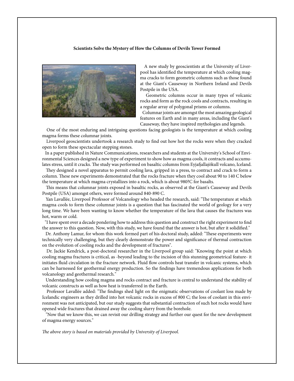#### **Scientists Solve the Mystery of How the Columns of Devils Tower Formed**



 A new study by geoscientists at the University of Liverpool has identified the temperature at which cooling magma cracks to form geometric columns such as those found at the Giant's Causeway in Northern Ireland and Devils Postpile in the USA.

 Geometric columns occur in many types of volcanic rocks and form as the rock cools and contracts, resulting in a regular array of polygonal prisms or columns.

 Columnar joints are amongst the most amazing geological features on Earth and in many areas, including the Giant's Causeway, they have inspired mythologies and legends.

 One of the most enduring and intriguing questions facing geologists is the temperature at which cooling magma forms these columnar joints.

 Liverpool geoscientists undertook a research study to find out how hot the rocks were when they cracked open to form these spectacular stepping stones.

 In a paper published in Nature Communications, researchers and students at the University's School of Environmental Sciences designed a new type of experiment to show how as magma cools, it contracts and accumulates stress, until it cracks. The study was performed on basaltic columns from Eyjafjallajökull volcano, Iceland.

 They designed a novel apparatus to permit cooling lava, gripped in a press, to contract and crack to form a column. These new experiments demonstrated that the rocks fracture when they cool about 90 to 140 C below the temperature at which magma crystallizes into a rock, which is about 980?C for basalts.

 This means that columnar joints exposed in basaltic rocks, as observed at the Giant's Causeway and Devils Postpile (USA) amongst others, were formed around 840-890 C.

 Yan Lavallée, Liverpool Professor of Volcanology who headed the research, said: "The temperature at which magma cools to form these columnar joints is a question that has fascinated the world of geology for a very long time. We have been wanting to know whether the temperature of the lava that causes the fractures was hot, warm or cold.

 "I have spent over a decade pondering how to address this question and construct the right experiment to find the answer to this question. Now, with this study, we have found that the answer is hot, but after it solidified."

 Dr. Anthony Lamur, for whom this work formed part of his doctoral study, added: "These experiments were technically very challenging, but they clearly demonstrate the power and significance of thermal contraction on the evolution of cooling rocks and the development of fractures".

 Dr. Jackie Kendrick, a post-doctoral researcher in the Liverpool group said: "Knowing the point at which cooling magma fractures is critical, as -beyond leading to the incision of this stunning geometrical feature- it initiates fluid circulation in the fracture network. Fluid flow controls heat transfer in volcanic systems, which can be harnessed for geothermal energy production. So the findings have tremendous applications for both volcanology and geothermal research."

 Understanding how cooling magma and rocks contract and fracture is central to understand the stability of volcanic constructs as well as how heat is transferred in the Earth.

 Professor Lavallée added: "The findings shed light on the enigmatic observations of coolant loss made by Icelandic engineers as they drilled into hot volcanic rocks in excess of 800 C; the loss of coolant in this environment was not anticipated, but our study suggests that substantial contraction of such hot rocks would have opened wide fractures that drained away the cooling slurry from the borehole.

 "Now that we know this, we can revisit our drilling strategy and further our quest for the new development of magma energy sources."

*The above story is based on materials provided by University of Liverpool.*